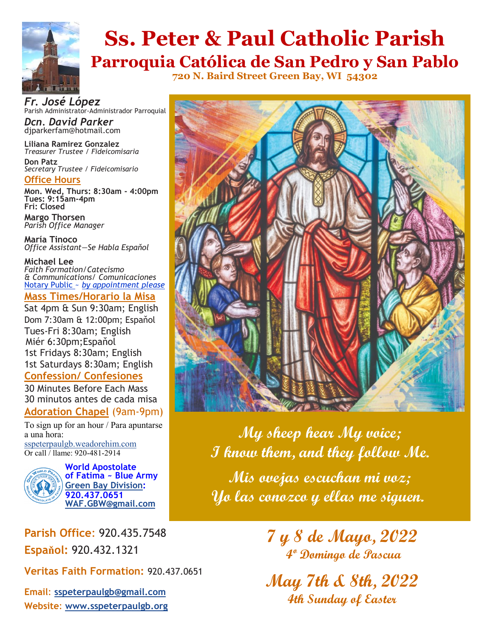

## **Ss. Peter & Paul Catholic Parish Parroquia Católica de San Pedro y San Pablo**

**720 N. Baird Street Green Bay, WI 54302**

*Fr. José López* Parish Administrator-Administrador Parroquial

*Dcn. David Parker* djparkerfam@hotmail.com

**Liliana Ramirez Gonzalez** *Treasurer Trustee / Fideicomisaria* **Don Patz** *Secretary Trustee / Fideicomisario*

**Office Hours**

**Mon. Wed, Thurs: 8:30am - 4:00pm Tues: 9:15am-4pm***)* **Fri: Closed** 

**Margo Thorsen** *Parish Office Manager* 

**María Tinoco** *Office Assistant—Se Habla Espaňol*

**Michael Lee**  *Faith Formation/Catecismo & Communications/ Comunicaciones* Notary Public ~ *by appointment please*

#### **Mass Times/Horario la Misa**

Sat 4pm & Sun 9:30am; English Dom 7:30am & 12:00pm; Espaňol Tues-Fri 8:30am; English Miér 6:30pm;Espaňol 1st Fridays 8:30am; English 1st Saturdays 8:30am; English **Confession/ Confesiones**

30 Minutes Before Each Mass 30 minutos antes de cada misa

#### **Adoration Chapel** (9am-9pm)

To sign up for an hour / Para apuntarse a una hora: [sspeterpaulgb.weadorehim.com](https://sspeterpaulgb.weadorehim.com/) Or call / llame: 920-481-2914



**World Apostolate of Fatima ~ Blue Army [Green Bay Division:](http://www.sspeterpaulgb.org/subpages.php?CLID=10906) 920.437.0651 [WAF.GBW@gmail.com](mailto:WAF.GBW@gmail.com)**

**Parish Office**: 920.435.7548 **Espaňol:** 920.432.1321

**Veritas Faith Formation:** 920.437.0651

**Email**: **[sspeterpaulgb@gmail.com](mailto:sspeterpaulgb@gmail.com) Website**: **[www.sspeterpaulgb.org](http://www.sspeterpaulgb.org)**



**My sheep hear My voice; I know them, and they follow Me. Mis ovejas escuchan mi voz; Yo las conozco y ellas me siguen.**

> **7 y 8 de Mayo, 2022 4º Domingo de Pascua**

**May 7th & 8th, 2022 4th Sunday of Easter**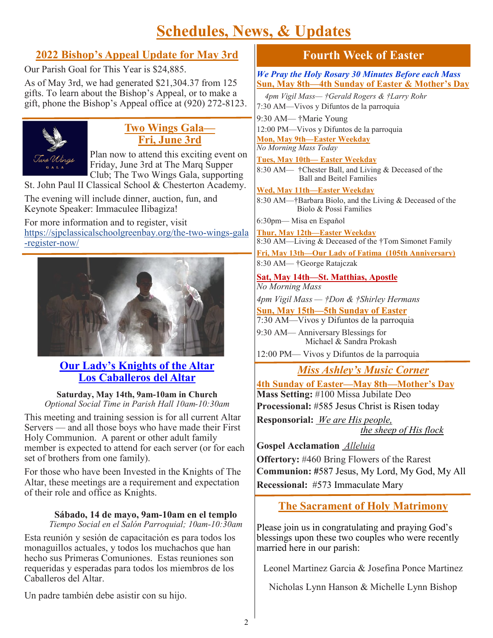## **Schedules, News, & Updates**

## **2022 Bishop's Appeal Update for May 3rd**

Our Parish Goal for This Year is \$24,885.

As of May 3rd, we had generated \$21,304.37 from 125 gifts. To learn about the Bishop's Appeal, or to make a gift, phone the Bishop's Appeal office at (920) 272-8123.



### **Two Wings Gala— Fri, June 3rd**

Plan now to attend this exciting event on Friday, June 3rd at The Marq Supper Club; The Two Wings Gala, supporting St. John Paul II Classical School & Chesterton Academy.

The evening will include dinner, auction, fun, and Keynote Speaker: Immaculee Ilibagiza!

For more information and to register, visit [https://sjpclassicalschoolgreenbay.org/the](https://sjpclassicalschoolgreenbay.org/the-two-wings-gala-register-now/)-two-wings-gala -[register](https://sjpclassicalschoolgreenbay.org/the-two-wings-gala-register-now/)-now/



### **Our Lady's Knights of the Altar Los Caballeros del Altar**

**Saturday, May 14th, 9am-10am in Church** *Optional Social Time in Parish Hall 10am-10:30am*

This meeting and training session is for all current Altar Servers — and all those boys who have made their First Holy Communion. A parent or other adult family member is expected to attend for each server (or for each set of brothers from one family).

For those who have been Invested in the Knights of The Altar, these meetings are a requirement and expectation of their role and office as Knights.

#### **Sábado, 14 de mayo, 9am-10am en el templo**

*Tiempo Social en el Salón Parroquial; 10am-10:30am*

Esta reunión y sesión de capacitación es para todos los monaguillos actuales, y todos los muchachos que han hecho sus Primeras Comuniones. Estas reuniones son requeridas y esperadas para todos los miembros de los Caballeros del Altar.

Un padre también debe asistir con su hijo.

## **Fourth Week of Easter**

*We Pray the Holy Rosary 30 Minutes Before each Mass* **Sun, May 8th—4th Sunday of Easter & Mother's Day**

 *4pm Vigil Mass— †Gerald Rogers & †Larry Rohr*  7:30 AM—Vivos y Difuntos de la parroquia 9:30 AM— †Marie Young 12:00 PM—Vivos y Difuntos de la parroquia **Mon, May 9th—Easter Weekday** *No Morning Mass Today* **Tues, May 10th— Easter Weekday**  8:30 AM— †Chester Ball, and Living & Deceased of the Ball and Beitel Families **Wed, May 11th—Easter Weekday** 8:30 AM—†Barbara Biolo, and the Living & Deceased of the Biolo & Possi Families 6:30pm— Misa en Espaňol **Thur, May 12th—Easter Weekday**  8:30 AM—Living & Deceased of the †Tom Simonet Family **Fri, May 13th—Our Lady of Fatima (105th Anniversary)**

8:30 AM— †George Ratajczak

**Sat, May 14th—St. Matthias, Apostle** *No Morning Mass*

*4pm Vigil Mass — †Don & †Shirley Hermans*

**Sun, May 15th—5th Sunday of Easter**

7:30 AM—Vivos y Difuntos de la parroquia

9:30 AM— Anniversary Blessings for Michael & Sandra Prokash

12:00 PM— Vivos y Difuntos de la parroquia

*Miss Ashley's Music Corner*

**4th Sunday of Easter—May 8th—Mother's Day Mass Setting:** #100 Missa Jubilate Deo **Processional:** #585 Jesus Christ is Risen today

**Responsorial:** *We are His people,* 

 *the sheep of His flock*

**Gospel Acclamation** *Alleluia*  **Offertory:** #460 Bring Flowers of the Rarest **Communion: #**587 Jesus, My Lord, My God, My All **Recessional:** #573 Immaculate Mary

## **The Sacrament of Holy Matrimony**

Please join us in congratulating and praying God's blessings upon these two couples who were recently married here in our parish:

Leonel Martinez Garcia & Josefina Ponce Martinez

Nicholas Lynn Hanson & Michelle Lynn Bishop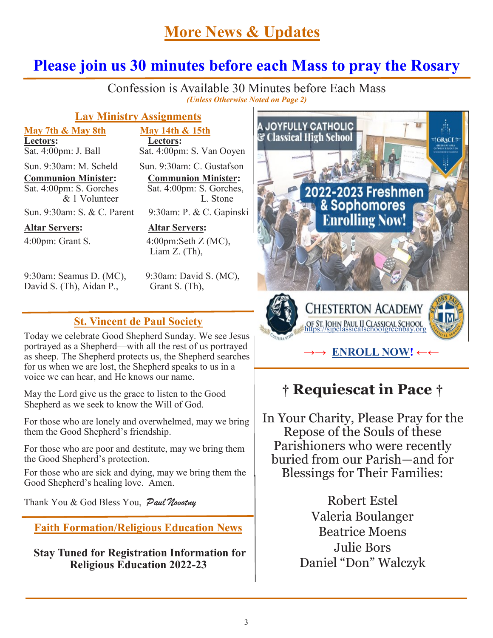## **More News & Updates**

## **Please join us 30 minutes before each Mass to pray the Rosary**

j Confession is Available 30 Minutes before Each Mass *(Unless Otherwise Noted on Page 2)*

#### **Lay Ministry Assignments**

**May 7th & May 8th May 14th & 15th Lectors:**<br>Sat. 4:00pm: J. Ball Sat. 4:00pm

**Altar Servers: Altar Servers:**

9:30am: Seamus D. (MC), 9:30am: David S. (MC), David S. (Th), Aidan P., Grant S. (Th),

Sat. 4:00pm: S. Van Ooven Sun. 9:30am: M. Scheld Sun. 9:30am: C. Gustafson

**Communion Minister:**<br> **Communion Minister:**<br> **Communion Minister:**<br> **Communion Minister:**<br> **Communion Minister:**  $Sat. 4:00 \text{pm: } S.$  Gorches, & 1 Volunteer L. Stone

Sun. 9:30am: S. & C. Parent 9:30am: P. & C. Gapinski

4:00pm: Grant S. 4:00pm:Seth Z (MC), Liam Z. (Th),

#### **St. Vincent de Paul Society**

Today we celebrate Good Shepherd Sunday. We see Jesus portrayed as a Shepherd—with all the rest of us portrayed as sheep. The Shepherd protects us, the Shepherd searches for us when we are lost, the Shepherd speaks to us in a voice we can hear, and He knows our name.

May the Lord give us the grace to listen to the Good Shepherd as we seek to know the Will of God.

For those who are lonely and overwhelmed, may we bring them the Good Shepherd's friendship.

For those who are poor and destitute, may we bring them the Good Shepherd's protection.

For those who are sick and dying, may we bring them the Good Shepherd's healing love. Amen.

Thank You & God Bless You, Paul Novotny

**Faith Formation/Religious Education News**

**Stay Tuned for Registration Information for Religious Education 2022-23**



## **† Requiescat in Pace †**

In Your Charity, Please Pray for the Repose of the Souls of these Parishioners who were recently buried from our Parish—and for Blessings for Their Families:

> Robert Estel Valeria Boulanger Beatrice Moens Julie Bors Daniel "Don" Walczyk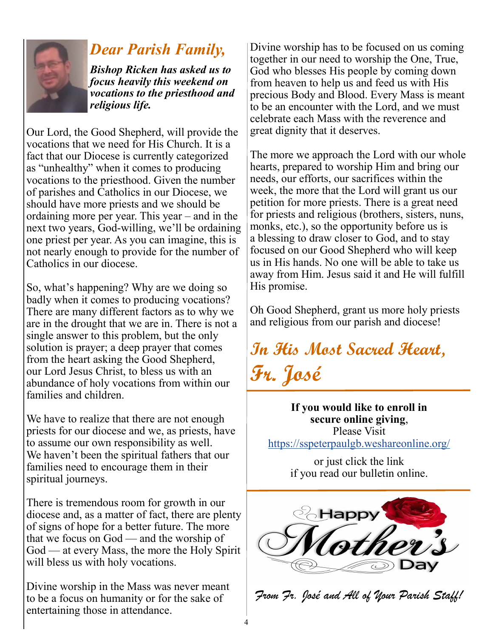

## *Dear Parish Family,*

*Bishop Ricken has asked us to focus heavily this weekend on vocations to the priesthood and religious life.* 

Our Lord, the Good Shepherd, will provide the vocations that we need for His Church. It is a fact that our Diocese is currently categorized as "unhealthy" when it comes to producing vocations to the priesthood. Given the number of parishes and Catholics in our Diocese, we should have more priests and we should be ordaining more per year. This year – and in the next two years, God-willing, we'll be ordaining one priest per year. As you can imagine, this is not nearly enough to provide for the number of Catholics in our diocese.

So, what's happening? Why are we doing so badly when it comes to producing vocations? There are many different factors as to why we are in the drought that we are in. There is not a single answer to this problem, but the only solution is prayer; a deep prayer that comes from the heart asking the Good Shepherd, our Lord Jesus Christ, to bless us with an abundance of holy vocations from within our families and children.

We have to realize that there are not enough priests for our diocese and we, as priests, have to assume our own responsibility as well. We haven't been the spiritual fathers that our families need to encourage them in their spiritual journeys.

There is tremendous room for growth in our diocese and, as a matter of fact, there are plenty of signs of hope for a better future. The more that we focus on God — and the worship of God — at every Mass, the more the Holy Spirit will bless us with holy vocations.

Divine worship in the Mass was never meant to be a focus on humanity or for the sake of entertaining those in attendance.

Divine worship has to be focused on us coming together in our need to worship the One, True, God who blesses His people by coming down from heaven to help us and feed us with His precious Body and Blood. Every Mass is meant to be an encounter with the Lord, and we must celebrate each Mass with the reverence and great dignity that it deserves.

The more we approach the Lord with our whole hearts, prepared to worship Him and bring our needs, our efforts, our sacrifices within the week, the more that the Lord will grant us our petition for more priests. There is a great need for priests and religious (brothers, sisters, nuns, monks, etc.), so the opportunity before us is a blessing to draw closer to God, and to stay focused on our Good Shepherd who will keep us in His hands. No one will be able to take us away from Him. Jesus said it and He will fulfill His promise.

Oh Good Shepherd, grant us more holy priests and religious from our parish and diocese!

**In His Most Sacred Heart, Fr. José**

**If you would like to enroll in secure online giving**, Please Visit <https://sspeterpaulgb.weshareonline.org/>

> or just click the link if you read our bulletin online.



*From Fr. José and All of Your Parish Staff!*